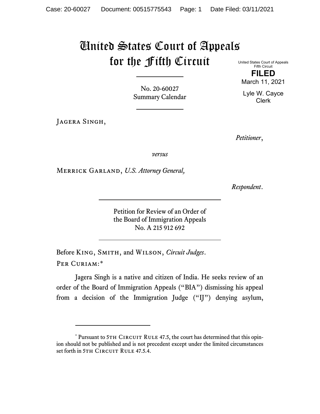## United States Court of Appeals for the Fifth Circuit

No. 20-60027 Summary Calendar

JAGERA SINGH,

United States Court of Appeals Fifth Circuit **FILED**

March 11, 2021

Lyle W. Cayce Clerk

*Petitioner*,

*versus*

Merrick Garland, *U.S. Attorney General,*

*Respondent*.

Petition for Review of an Order of the Board of Immigration Appeals No. A 215 912 692

Before King, Smith, and Wilson, *Circuit Judges*. Per Curiam:[\\*](#page-0-0)

Jagera Singh is a native and citizen of India. He seeks review of an order of the Board of Immigration Appeals ("BIA") dismissing his appeal from a decision of the Immigration Judge ("IJ") denying asylum,

<span id="page-0-0"></span><sup>\*</sup> Pursuant to 5TH CIRCUIT RULE 47.5, the court has determined that this opinion should not be published and is not precedent except under the limited circumstances set forth in 5TH CIRCUIT RULE 47.5.4.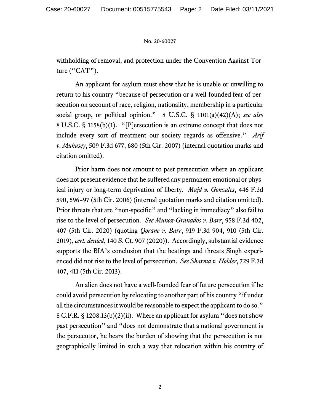## No. 20-60027

withholding of removal, and protection under the Convention Against Torture ("CAT").

An applicant for asylum must show that he is unable or unwilling to return to his country "because of persecution or a well-founded fear of persecution on account of race, religion, nationality, membership in a particular social group, or political opinion." 8 U.S.C. § 1101(a)(42)(A); *see also* 8 U.S.C. § 1158(b)(1). "[P]ersecution is an extreme concept that does not include every sort of treatment our society regards as offensive." *Arif v. Mukasey*, 509 F.3d 677, 680 (5th Cir. 2007) (internal quotation marks and citation omitted).

Prior harm does not amount to past persecution where an applicant does not present evidence that he suffered any permanent emotional or physical injury or long-term deprivation of liberty. *Majd v. Gonzales*, 446 F.3d 590, 596−97 (5th Cir. 2006) (internal quotation marks and citation omitted). Prior threats that are "non-specific" and "lacking in immediacy" also fail to rise to the level of persecution. *See Munoz-Granados v. Barr*, 958 F.3d 402, 407 (5th Cir. 2020) (quoting *Qorane v. Barr*, 919 F.3d 904, 910 (5th Cir. 2019), *cert. denied*, 140 S. Ct. 907 (2020)). Accordingly, substantial evidence supports the BIA's conclusion that the beatings and threats Singh experienced did not rise to the level of persecution. *See Sharma v. Holder*, 729 F.3d 407, 411 (5th Cir. 2013).

An alien does not have a well-founded fear of future persecution if he could avoid persecution by relocating to another part of his country "if under all the circumstances it would be reasonable to expect the applicant to do so." 8 C.F.R. § 1208.13(b)(2)(ii). Where an applicant for asylum "does not show past persecution" and "does not demonstrate that a national government is the persecutor, he bears the burden of showing that the persecution is not geographically limited in such a way that relocation within his country of